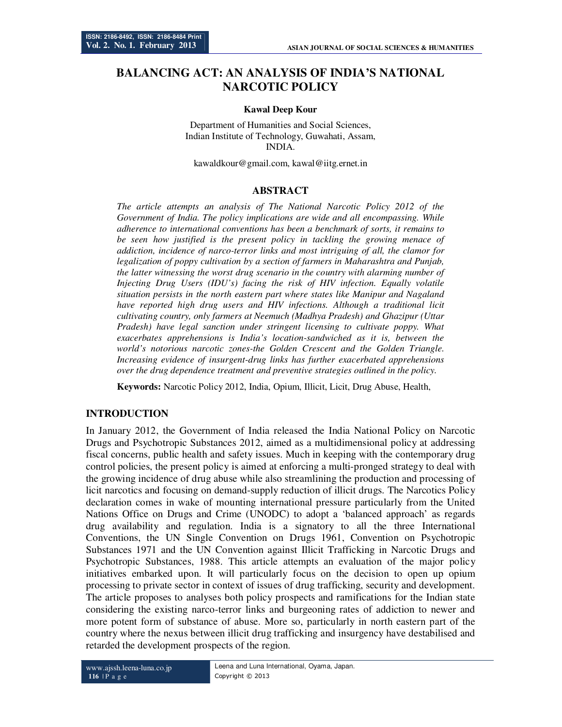# **BALANCING ACT: AN ANALYSIS OF INDIA'S NATIONAL NARCOTIC POLICY**

#### **Kawal Deep Kour**

Department of Humanities and Social Sciences, Indian Institute of Technology, Guwahati, Assam, INDIA.

kawaldkour@gmail.com, kawal@iitg.ernet.in

#### **ABSTRACT**

*The article attempts an analysis of The National Narcotic Policy 2012 of the Government of India. The policy implications are wide and all encompassing. While adherence to international conventions has been a benchmark of sorts, it remains to be seen how justified is the present policy in tackling the growing menace of addiction, incidence of narco-terror links and most intriguing of all, the clamor for legalization of poppy cultivation by a section of farmers in Maharashtra and Punjab, the latter witnessing the worst drug scenario in the country with alarming number of Injecting Drug Users (IDU's) facing the risk of HIV infection. Equally volatile situation persists in the north eastern part where states like Manipur and Nagaland have reported high drug users and HIV infections. Although a traditional licit cultivating country, only farmers at Neemuch (Madhya Pradesh) and Ghazipur (Uttar Pradesh) have legal sanction under stringent licensing to cultivate poppy. What exacerbates apprehensions is India's location-sandwiched as it is, between the world's notorious narcotic zones-the Golden Crescent and the Golden Triangle. Increasing evidence of insurgent-drug links has further exacerbated apprehensions over the drug dependence treatment and preventive strategies outlined in the policy.* 

**Keywords:** Narcotic Policy 2012, India, Opium, Illicit, Licit, Drug Abuse, Health,

## **INTRODUCTION**

In January 2012, the Government of India released the India National Policy on Narcotic Drugs and Psychotropic Substances 2012, aimed as a multidimensional policy at addressing fiscal concerns, public health and safety issues. Much in keeping with the contemporary drug control policies, the present policy is aimed at enforcing a multi-pronged strategy to deal with the growing incidence of drug abuse while also streamlining the production and processing of licit narcotics and focusing on demand-supply reduction of illicit drugs. The Narcotics Policy declaration comes in wake of mounting international pressure particularly from the United Nations Office on Drugs and Crime (UNODC) to adopt a 'balanced approach' as regards drug availability and regulation. India is a signatory to all the three International Conventions, the UN Single Convention on Drugs 1961, Convention on Psychotropic Substances 1971 and the UN Convention against Illicit Trafficking in Narcotic Drugs and Psychotropic Substances, 1988. This article attempts an evaluation of the major policy initiatives embarked upon. It will particularly focus on the decision to open up opium processing to private sector in context of issues of drug trafficking, security and development. The article proposes to analyses both policy prospects and ramifications for the Indian state considering the existing narco-terror links and burgeoning rates of addiction to newer and more potent form of substance of abuse. More so, particularly in north eastern part of the country where the nexus between illicit drug trafficking and insurgency have destabilised and retarded the development prospects of the region.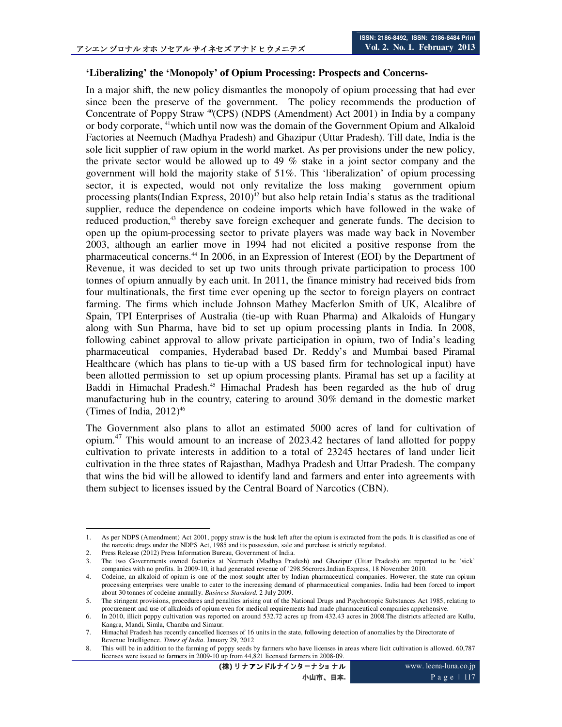### **'Liberalizing' the 'Monopoly' of Opium Processing: Prospects and Concerns-**

In a major shift, the new policy dismantles the monopoly of opium processing that had ever since been the preserve of the government. The policy recommends the production of Concentrate of Poppy Straw  $^{40}$ (CPS) (NDPS (Amendment) Act 2001) in India by a company or body corporate, <sup>41</sup>which until now was the domain of the Government Opium and Alkaloid Factories at Neemuch (Madhya Pradesh) and Ghazipur (Uttar Pradesh). Till date, India is the sole licit supplier of raw opium in the world market. As per provisions under the new policy, the private sector would be allowed up to 49 % stake in a joint sector company and the government will hold the majority stake of 51%. This 'liberalization' of opium processing sector, it is expected, would not only revitalize the loss making government opium processing plants(Indian Express,  $2010)^{42}$  but also help retain India's status as the traditional supplier, reduce the dependence on codeine imports which have followed in the wake of reduced production,<sup>43</sup> thereby save foreign exchequer and generate funds. The decision to open up the opium-processing sector to private players was made way back in November 2003, although an earlier move in 1994 had not elicited a positive response from the pharmaceutical concerns.<sup>44</sup> In 2006, in an Expression of Interest (EOI) by the Department of Revenue, it was decided to set up two units through private participation to process 100 tonnes of opium annually by each unit. In 2011, the finance ministry had received bids from four multinationals, the first time ever opening up the sector to foreign players on contract farming. The firms which include Johnson Mathey Macferlon Smith of UK, Alcalibre of Spain, TPI Enterprises of Australia (tie-up with Ruan Pharma) and Alkaloids of Hungary along with Sun Pharma, have bid to set up opium processing plants in India. In 2008, following cabinet approval to allow private participation in opium, two of India's leading pharmaceutical companies, Hyderabad based Dr. Reddy's and Mumbai based Piramal Healthcare (which has plans to tie-up with a US based firm for technological input) have been allotted permission to set up opium processing plants. Piramal has set up a facility at Baddi in Himachal Pradesh.<sup>45</sup> Himachal Pradesh has been regarded as the hub of drug manufacturing hub in the country, catering to around 30% demand in the domestic market (Times of India,  $2012$ )<sup>46</sup>

The Government also plans to allot an estimated 5000 acres of land for cultivation of opium.<sup>47</sup> This would amount to an increase of 2023.42 hectares of land allotted for poppy cultivation to private interests in addition to a total of 23245 hectares of land under licit cultivation in the three states of Rajasthan, Madhya Pradesh and Uttar Pradesh. The company that wins the bid will be allowed to identify land and farmers and enter into agreements with them subject to licenses issued by the Central Board of Narcotics (CBN).

-

(株) リナアンドルナインターナショナル 小山市、日本**.**

<sup>1.</sup> As per NDPS (Amendment) Act 2001, poppy straw is the husk left after the opium is extracted from the pods. It is classified as one of the narcotic drugs under the NDPS Act, 1985 and its possession, sale and purchase is strictly regulated.

<sup>2.</sup> Press Release (2012) Press Information Bureau, Government of India.

<sup>3.</sup> The two Governments owned factories at Neemuch (Madhya Pradesh) and Ghazipur (Uttar Pradesh) are reported to be 'sick' companies with no profits. In 2009-10, it had generated revenue of `298.56crores.Indian Express, 18 November 2010.

<sup>4.</sup> Codeine, an alkaloid of opium is one of the most sought after by Indian pharmaceutical companies. However, the state run opium processing enterprises were unable to cater to the increasing demand of pharmaceutical companies. India had been forced to import about 30 tonnes of codeine annually. *Business Standard*. 2 July 2009.

<sup>5.</sup> The stringent provisions, procedures and penalties arising out of the National Drugs and Psychotropic Substances Act 1985, relating to procurement and use of alkaloids of opium even for medical requirements had made pharmaceutical companies apprehensive.

<sup>6.</sup> In 2010, illicit poppy cultivation was reported on around 532.72 acres up from 432.43 acres in 2008.The districts affected are Kullu, Kangra, Mandi, Simla, Chamba and Simaur.

<sup>7.</sup> Himachal Pradesh has recently cancelled licenses of 16 units in the state, following detection of anomalies by the Directorate of Revenue Intelligence. *Times of India*. January 29, 2012

<sup>8.</sup> This will be in addition to the farming of poppy seeds by farmers who have licenses in areas where licit cultivation is allowed. 60,787 licenses were issued to farmers in 2009-10 up from 44,821 licensed farmers in 2008-09.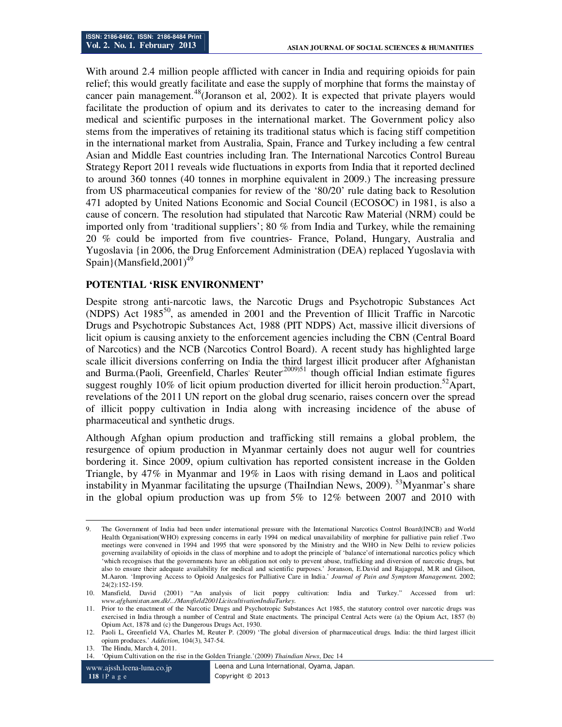With around 2.4 million people afflicted with cancer in India and requiring opioids for pain relief; this would greatly facilitate and ease the supply of morphine that forms the mainstay of cancer pain management.<sup>48</sup>(Joranson et al, 2002). It is expected that private players would facilitate the production of opium and its derivates to cater to the increasing demand for medical and scientific purposes in the international market. The Government policy also stems from the imperatives of retaining its traditional status which is facing stiff competition in the international market from Australia, Spain, France and Turkey including a few central Asian and Middle East countries including Iran. The International Narcotics Control Bureau Strategy Report 2011 reveals wide fluctuations in exports from India that it reported declined to around 360 tonnes (40 tonnes in morphine equivalent in 2009.) The increasing pressure from US pharmaceutical companies for review of the '80/20' rule dating back to Resolution 471 adopted by United Nations Economic and Social Council (ECOSOC) in 1981, is also a cause of concern. The resolution had stipulated that Narcotic Raw Material (NRM) could be imported only from 'traditional suppliers'; 80 % from India and Turkey, while the remaining 20 % could be imported from five countries- France, Poland, Hungary, Australia and Yugoslavia {in 2006, the Drug Enforcement Administration (DEA) replaced Yugoslavia with Spain $\{Mansfield,2001\}^{49}$ 

### **POTENTIAL 'RISK ENVIRONMENT'**

Despite strong anti-narcotic laws, the Narcotic Drugs and Psychotropic Substances Act (NDPS) Act 1985<sup>50</sup>, as amended in 2001 and the Prevention of Illicit Traffic in Narcotic Drugs and Psychotropic Substances Act, 1988 (PIT NDPS) Act, massive illicit diversions of licit opium is causing anxiety to the enforcement agencies including the CBN (Central Board of Narcotics) and the NCB (Narcotics Control Board). A recent study has highlighted large scale illicit diversions conferring on India the third largest illicit producer after Afghanistan and Burma.(Paoli, Greenfield, Charles' Reuter<sup>2009)51</sup> though official Indian estimate figures suggest roughly 10% of licit opium production diverted for illicit heroin production.<sup>52</sup>Apart, revelations of the 2011 UN report on the global drug scenario, raises concern over the spread of illicit poppy cultivation in India along with increasing incidence of the abuse of pharmaceutical and synthetic drugs.

Although Afghan opium production and trafficking still remains a global problem, the resurgence of opium production in Myanmar certainly does not augur well for countries bordering it. Since 2009, opium cultivation has reported consistent increase in the Golden Triangle, by 47% in Myanmar and 19% in Laos with rising demand in Laos and political instability in Myanmar facilitating the upsurge (ThaiIndian News, 2009).  $53$ Myanmar's share in the global opium production was up from 5% to 12% between 2007 and 2010 with

<sup>-</sup>9. The Government of India had been under international pressure with the International Narcotics Control Board(INCB) and World Health Organisation(WHO) expressing concerns in early 1994 on medical unavailability of morphine for palliative pain relief .Two meetings were convened in 1994 and 1995 that were sponsored by the Ministry and the WHO in New Delhi to review policies governing availability of opioids in the class of morphine and to adopt the principle of 'balance'of international narcotics policy which 'which recognises that the governments have an obligation not only to prevent abuse, trafficking and diversion of narcotic drugs, but also to ensure their adequate availability for medical and scientific purposes.' Joranson, E.David and Rajagopal, M.R and Gilson, M.Aaron. 'Improving Access to Opioid Analgesics for Palliative Care in India.' *Journal of Pain and Symptom Management.* 2002;  $24(2):152-159$ .

<sup>10.</sup> Mansfield, David (2001) "An analysis of licit poppy cultivation: India and Turkey." Accessed from url: *www.afghanistan.um.dk/.../Mansfield2001LicitcultivationIndiaTurkey.*

<sup>11.</sup> Prior to the enactment of the Narcotic Drugs and Psychotropic Substances Act 1985, the statutory control over narcotic drugs was exercised in India through a number of Central and State enactments. The principal Central Acts were (a) the Opium Act, 1857 (b) Opium Act, 1878 and (c) the Dangerous Drugs Act, 1930.

<sup>12.</sup> Paoli L, Greenfield VA, Charles M, Reuter P. (2009) 'The global diversion of pharmaceutical drugs. India: the third largest illicit opium produces.' *Addiction*, 104(3), 347-54.

<sup>13.</sup> The Hindu, March 4, 2011.

<sup>14.</sup> 'Opium Cultivation on the rise in the Golden Triangle.'(2009) *Thaindian News*, Dec 14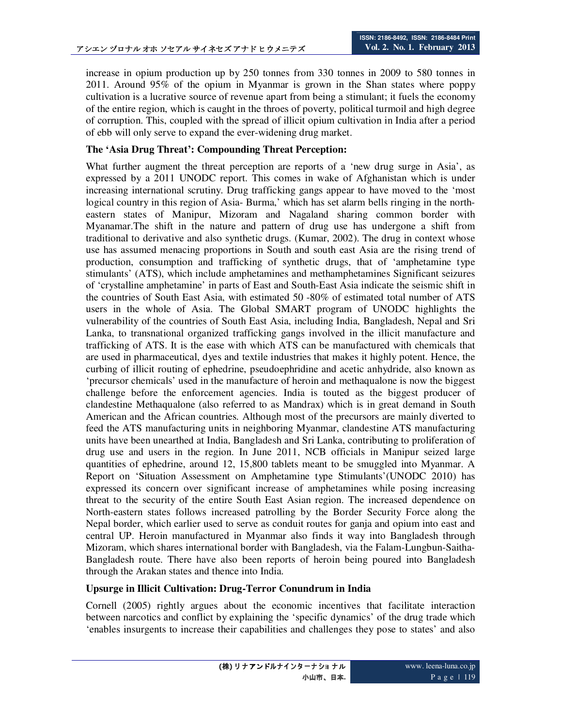increase in opium production up by 250 tonnes from 330 tonnes in 2009 to 580 tonnes in 2011. Around 95% of the opium in Myanmar is grown in the Shan states where poppy cultivation is a lucrative source of revenue apart from being a stimulant; it fuels the economy of the entire region, which is caught in the throes of poverty, political turmoil and high degree of corruption. This, coupled with the spread of illicit opium cultivation in India after a period of ebb will only serve to expand the ever-widening drug market.

### **The 'Asia Drug Threat': Compounding Threat Perception:**

What further augment the threat perception are reports of a 'new drug surge in Asia', as expressed by a 2011 UNODC report. This comes in wake of Afghanistan which is under increasing international scrutiny. Drug trafficking gangs appear to have moved to the 'most logical country in this region of Asia- Burma,' which has set alarm bells ringing in the northeastern states of Manipur, Mizoram and Nagaland sharing common border with Myanamar.The shift in the nature and pattern of drug use has undergone a shift from traditional to derivative and also synthetic drugs. (Kumar, 2002). The drug in context whose use has assumed menacing proportions in South and south east Asia are the rising trend of production, consumption and trafficking of synthetic drugs, that of 'amphetamine type stimulants' (ATS), which include amphetamines and methamphetamines Significant seizures of 'crystalline amphetamine' in parts of East and South-East Asia indicate the seismic shift in the countries of South East Asia, with estimated 50 -80% of estimated total number of ATS users in the whole of Asia. The Global SMART program of UNODC highlights the vulnerability of the countries of South East Asia, including India, Bangladesh, Nepal and Sri Lanka, to transnational organized trafficking gangs involved in the illicit manufacture and trafficking of ATS. It is the ease with which ATS can be manufactured with chemicals that are used in pharmaceutical, dyes and textile industries that makes it highly potent. Hence, the curbing of illicit routing of ephedrine, pseudoephridine and acetic anhydride, also known as 'precursor chemicals' used in the manufacture of heroin and methaqualone is now the biggest challenge before the enforcement agencies. India is touted as the biggest producer of clandestine Methaqualone (also referred to as Mandrax) which is in great demand in South American and the African countries. Although most of the precursors are mainly diverted to feed the ATS manufacturing units in neighboring Myanmar, clandestine ATS manufacturing units have been unearthed at India, Bangladesh and Sri Lanka, contributing to proliferation of drug use and users in the region. In June 2011, NCB officials in Manipur seized large quantities of ephedrine, around 12, 15,800 tablets meant to be smuggled into Myanmar. A Report on 'Situation Assessment on Amphetamine type Stimulants'(UNODC 2010) has expressed its concern over significant increase of amphetamines while posing increasing threat to the security of the entire South East Asian region. The increased dependence on North-eastern states follows increased patrolling by the Border Security Force along the Nepal border, which earlier used to serve as conduit routes for ganja and opium into east and central UP. Heroin manufactured in Myanmar also finds it way into Bangladesh through Mizoram, which shares international border with Bangladesh, via the Falam-Lungbun-Saitha-Bangladesh route. There have also been reports of heroin being poured into Bangladesh through the Arakan states and thence into India.

### **Upsurge in Illicit Cultivation: Drug-Terror Conundrum in India**

Cornell (2005) rightly argues about the economic incentives that facilitate interaction between narcotics and conflict by explaining the 'specific dynamics' of the drug trade which 'enables insurgents to increase their capabilities and challenges they pose to states' and also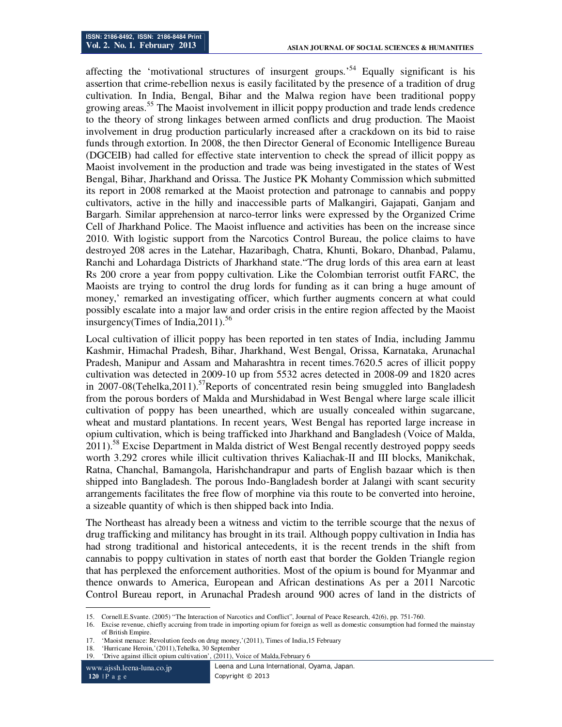affecting the 'motivational structures of insurgent groups.<sup>54</sup> Equally significant is his assertion that crime-rebellion nexus is easily facilitated by the presence of a tradition of drug cultivation. In India, Bengal, Bihar and the Malwa region have been traditional poppy growing areas.<sup>55</sup> The Maoist involvement in illicit poppy production and trade lends credence to the theory of strong linkages between armed conflicts and drug production. The Maoist involvement in drug production particularly increased after a crackdown on its bid to raise funds through extortion. In 2008, the then Director General of Economic Intelligence Bureau (DGCEIB) had called for effective state intervention to check the spread of illicit poppy as Maoist involvement in the production and trade was being investigated in the states of West Bengal, Bihar, Jharkhand and Orissa. The Justice PK Mohanty Commission which submitted its report in 2008 remarked at the Maoist protection and patronage to cannabis and poppy cultivators, active in the hilly and inaccessible parts of Malkangiri, Gajapati, Ganjam and Bargarh. Similar apprehension at narco-terror links were expressed by the Organized Crime Cell of Jharkhand Police. The Maoist influence and activities has been on the increase since 2010. With logistic support from the Narcotics Control Bureau, the police claims to have destroyed 208 acres in the Latehar, Hazaribagh, Chatra, Khunti, Bokaro, Dhanbad, Palamu, Ranchi and Lohardaga Districts of Jharkhand state."The drug lords of this area earn at least Rs 200 crore a year from poppy cultivation. Like the Colombian terrorist outfit FARC, the Maoists are trying to control the drug lords for funding as it can bring a huge amount of money,' remarked an investigating officer, which further augments concern at what could possibly escalate into a major law and order crisis in the entire region affected by the Maoist insurgency(Times of India,  $2011$ ).<sup>56</sup>

Local cultivation of illicit poppy has been reported in ten states of India, including Jammu Kashmir, Himachal Pradesh, Bihar, Jharkhand, West Bengal, Orissa, Karnataka, Arunachal Pradesh, Manipur and Assam and Maharashtra in recent times.7620.5 acres of illicit poppy cultivation was detected in 2009-10 up from 5532 acres detected in 2008-09 and 1820 acres in 2007-08(Tehelka, 2011).<sup>57</sup>Reports of concentrated resin being smuggled into Bangladesh from the porous borders of Malda and Murshidabad in West Bengal where large scale illicit cultivation of poppy has been unearthed, which are usually concealed within sugarcane, wheat and mustard plantations. In recent years, West Bengal has reported large increase in opium cultivation, which is being trafficked into Jharkhand and Bangladesh (Voice of Malda, 2011).<sup>58</sup> Excise Department in Malda district of West Bengal recently destroyed poppy seeds worth 3.292 crores while illicit cultivation thrives Kaliachak-II and III blocks, Manikchak, Ratna, Chanchal, Bamangola, Harishchandrapur and parts of English bazaar which is then shipped into Bangladesh. The porous Indo-Bangladesh border at Jalangi with scant security arrangements facilitates the free flow of morphine via this route to be converted into heroine, a sizeable quantity of which is then shipped back into India.

The Northeast has already been a witness and victim to the terrible scourge that the nexus of drug trafficking and militancy has brought in its trail. Although poppy cultivation in India has had strong traditional and historical antecedents, it is the recent trends in the shift from cannabis to poppy cultivation in states of north east that border the Golden Triangle region that has perplexed the enforcement authorities. Most of the opium is bound for Myanmar and thence onwards to America, European and African destinations As per a 2011 Narcotic Control Bureau report, in Arunachal Pradesh around 900 acres of land in the districts of

19. 'Drive against illicit opium cultivation', (2011), Voice of Malda*,*February 6

www.ajssh.leena-luna.co.jp **120** | P a g e

-

<sup>15.</sup> Cornell.E.Svante. (2005) "The Interaction of Narcotics and Conflict", Journal of Peace Research, 42(6), pp. 751-760.<br>16. Excise revenue, chiefly accruing from trade in importing opium for foreign as well as domestic co

<sup>16.</sup> Excise revenue, chiefly accruing from trade in importing opium for foreign as well as domestic consumption had formed the mainstay of British Empire.

<sup>17.</sup> 'Maoist menace: Revolution feeds on drug money,'(2011), Times of India,15 February

<sup>18.</sup> 'Hurricane Heroin,'(2011),Tehelka, 30 September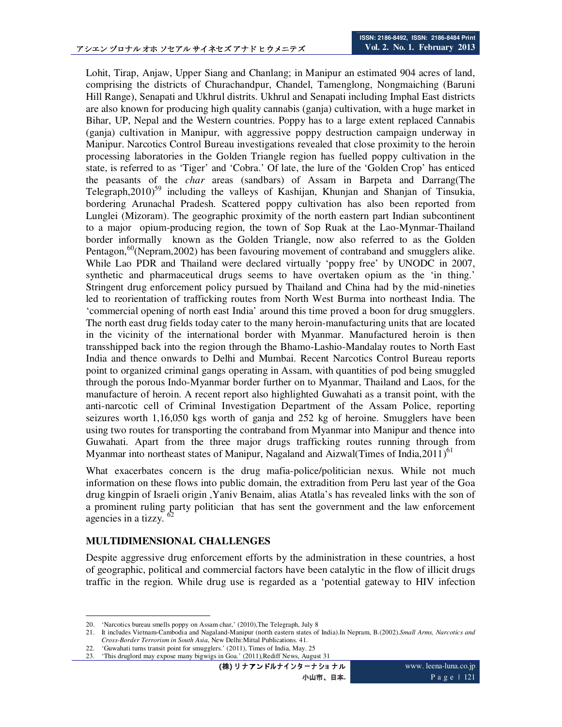Lohit, Tirap, Anjaw, Upper Siang and Chanlang; in Manipur an estimated 904 acres of land, comprising the districts of Churachandpur, Chandel, Tamenglong, Nongmaiching (Baruni Hill Range), Senapati and Ukhrul distrits. Ukhrul and Senapati including Imphal East districts are also known for producing high quality cannabis (ganja) cultivation, with a huge market in Bihar, UP, Nepal and the Western countries. Poppy has to a large extent replaced Cannabis (ganja) cultivation in Manipur, with aggressive poppy destruction campaign underway in Manipur. Narcotics Control Bureau investigations revealed that close proximity to the heroin processing laboratories in the Golden Triangle region has fuelled poppy cultivation in the state, is referred to as 'Tiger' and 'Cobra.' Of late, the lure of the 'Golden Crop' has enticed the peasants of the *char* areas (sandbars) of Assam in Barpeta and Darrang(The Telegraph,2010)<sup>59</sup> including the valleys of Kashijan, Khunjan and Shanjan of Tinsukia, bordering Arunachal Pradesh. Scattered poppy cultivation has also been reported from Lunglei (Mizoram). The geographic proximity of the north eastern part Indian subcontinent to a major opium-producing region, the town of Sop Ruak at the Lao-Mynmar-Thailand border informally known as the Golden Triangle, now also referred to as the Golden Pentagon,<sup>60</sup>(Nepram, 2002) has been favouring movement of contraband and smugglers alike. While Lao PDR and Thailand were declared virtually 'poppy free' by UNODC in 2007, synthetic and pharmaceutical drugs seems to have overtaken opium as the 'in thing.' Stringent drug enforcement policy pursued by Thailand and China had by the mid-nineties led to reorientation of trafficking routes from North West Burma into northeast India. The 'commercial opening of north east India' around this time proved a boon for drug smugglers. The north east drug fields today cater to the many heroin-manufacturing units that are located in the vicinity of the international border with Myanmar. Manufactured heroin is then transshipped back into the region through the Bhamo-Lashio-Mandalay routes to North East India and thence onwards to Delhi and Mumbai. Recent Narcotics Control Bureau reports point to organized criminal gangs operating in Assam, with quantities of pod being smuggled through the porous Indo-Myanmar border further on to Myanmar, Thailand and Laos, for the manufacture of heroin. A recent report also highlighted Guwahati as a transit point, with the anti-narcotic cell of Criminal Investigation Department of the Assam Police, reporting seizures worth 1,16,050 kgs worth of ganja and 252 kg of heroine. Smugglers have been using two routes for transporting the contraband from Myanmar into Manipur and thence into Guwahati. Apart from the three major drugs trafficking routes running through from Myanmar into northeast states of Manipur, Nagaland and Aizwal(Times of India, 2011)<sup>61</sup>

What exacerbates concern is the drug mafia-police/politician nexus. While not much information on these flows into public domain, the extradition from Peru last year of the Goa drug kingpin of Israeli origin ,Yaniv Benaim, alias Atatla's has revealed links with the son of a prominent ruling party politician that has sent the government and the law enforcement agencies in a tizzy.

#### **MULTIDIMENSIONAL CHALLENGES**

Despite aggressive drug enforcement efforts by the administration in these countries, a host of geographic, political and commercial factors have been catalytic in the flow of illicit drugs traffic in the region. While drug use is regarded as a 'potential gateway to HIV infection

(株) リナアンドルナインターナショナル 小山市、日本**.**

<sup>-</sup>20. 'Narcotics bureau smells poppy on Assam char,' (2010),The Telegraph, July 8

<sup>21.</sup> It includes Vietnam-Cambodia and Nagaland-Manipur (north eastern states of India).In Nepram, B.(2002).*Small Arms, Narcotics and Cross-Border Terrorism in South Asia*, New Delhi:Mittal Publications. 41.

<sup>22. &#</sup>x27;Guwahati turns transit point for smugglers.' (2011), Times of India, May. 25<br>23. 'This druglord may expose many bigwigs in Goa.' (2011) Rediff News. Augu

<sup>&#</sup>x27;This druglord may expose many bigwigs in Goa.' (2011),Rediff News, August 31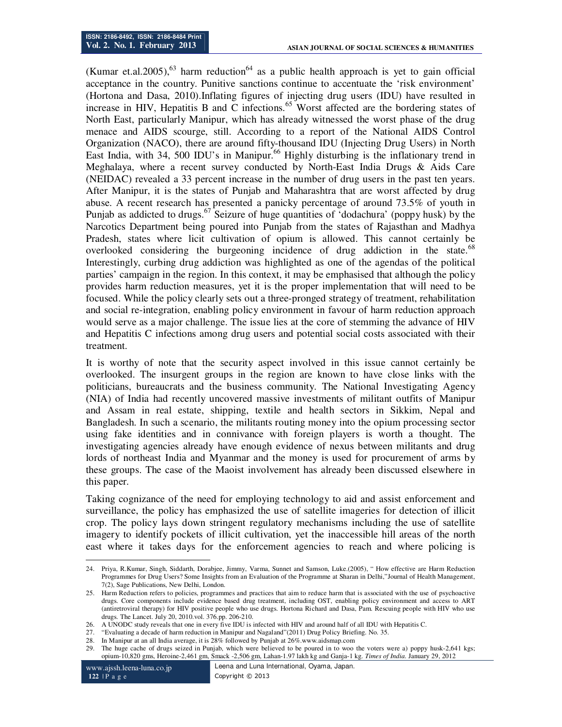(Kumar et.al.2005),<sup>63</sup> harm reduction<sup>64</sup> as a public health approach is yet to gain official acceptance in the country. Punitive sanctions continue to accentuate the 'risk environment' (Hortona and Dasa, 2010).Inflating figures of injecting drug users (IDU) have resulted in increase in HIV, Hepatitis B and C infections.<sup>65</sup> Worst affected are the bordering states of North East, particularly Manipur, which has already witnessed the worst phase of the drug menace and AIDS scourge, still. According to a report of the National AIDS Control Organization (NACO), there are around fifty-thousand IDU (Injecting Drug Users) in North East India, with 34, 500 IDU's in Manipur.<sup>66</sup> Highly disturbing is the inflationary trend in Meghalaya, where a recent survey conducted by North-East India Drugs & Aids Care (NEIDAC) revealed a 33 percent increase in the number of drug users in the past ten years. After Manipur, it is the states of Punjab and Maharashtra that are worst affected by drug abuse. A recent research has presented a panicky percentage of around 73.5% of youth in Punjab as addicted to drugs.<sup>67</sup> Seizure of huge quantities of 'dodachura' (poppy husk) by the Narcotics Department being poured into Punjab from the states of Rajasthan and Madhya Pradesh, states where licit cultivation of opium is allowed. This cannot certainly be overlooked considering the burgeoning incidence of drug addiction in the state.<sup>68</sup> Interestingly, curbing drug addiction was highlighted as one of the agendas of the political parties' campaign in the region. In this context, it may be emphasised that although the policy provides harm reduction measures, yet it is the proper implementation that will need to be focused. While the policy clearly sets out a three-pronged strategy of treatment, rehabilitation and social re-integration, enabling policy environment in favour of harm reduction approach would serve as a major challenge. The issue lies at the core of stemming the advance of HIV and Hepatitis C infections among drug users and potential social costs associated with their treatment.

It is worthy of note that the security aspect involved in this issue cannot certainly be overlooked. The insurgent groups in the region are known to have close links with the politicians, bureaucrats and the business community. The National Investigating Agency (NIA) of India had recently uncovered massive investments of militant outfits of Manipur and Assam in real estate, shipping, textile and health sectors in Sikkim, Nepal and Bangladesh. In such a scenario, the militants routing money into the opium processing sector using fake identities and in connivance with foreign players is worth a thought. The investigating agencies already have enough evidence of nexus between militants and drug lords of northeast India and Myanmar and the money is used for procurement of arms by these groups. The case of the Maoist involvement has already been discussed elsewhere in this paper.

Taking cognizance of the need for employing technology to aid and assist enforcement and surveillance, the policy has emphasized the use of satellite imageries for detection of illicit crop. The policy lays down stringent regulatory mechanisms including the use of satellite imagery to identify pockets of illicit cultivation, yet the inaccessible hill areas of the north east where it takes days for the enforcement agencies to reach and where policing is

<sup>-</sup>24. Priya, R.Kumar, Singh, Siddarth, Dorabjee, Jimmy, Varma, Sunnet and Samson, Luke.(2005), " How effective are Harm Reduction Programmes for Drug Users? Some Insights from an Evaluation of the Programme at Sharan in Delhi,"Journal of Health Management, 7(2), Sage Publications, New Delhi, London.

<sup>25.</sup> Harm Reduction refers to policies, programmes and practices that aim to reduce harm that is associated with the use of psychoactive drugs. Core components include evidence based drug treatment, including OST, enabling policy environment and access to ART (antiretroviral therapy) for HIV positive people who use drugs. Hortona Richard and Dasa, Pam. Rescuing people with HIV who use drugs. The Lancet. July 20, 2010.vol. 376.pp. 206-210.

<sup>26.</sup> A UNODC study reveals that one in every five IDU is infected with HIV and around half of all IDU with Hepatitis C.

<sup>27.</sup> "Evaluating a decade of harm reduction in Manipur and Nagaland"(2011) Drug Policy Briefing. No. 35.

<sup>28.</sup> In Manipur at an all India average, it is 28% followed by Punjab at 26%.www.aidsmap.com

<sup>29.</sup> The huge cache of drugs seized in Punjab, which were believed to be poured in to woo the voters were a) poppy husk-2,641 kgs; opium-10,820 gms, Heroine-2,461 gm, Smack -2,506 gm, Lahan-1.97 lakh kg and Ganja-1 kg. *Times of India.* January 29, 2012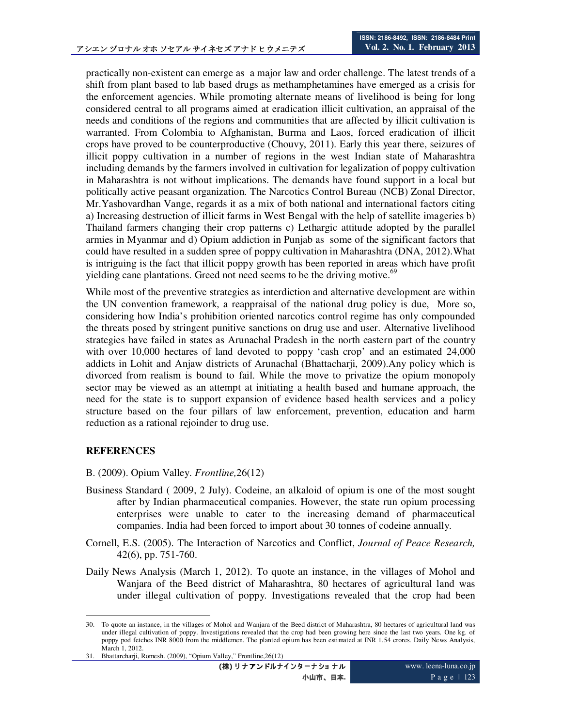practically non-existent can emerge as a major law and order challenge. The latest trends of a shift from plant based to lab based drugs as methamphetamines have emerged as a crisis for the enforcement agencies. While promoting alternate means of livelihood is being for long considered central to all programs aimed at eradication illicit cultivation, an appraisal of the needs and conditions of the regions and communities that are affected by illicit cultivation is warranted. From Colombia to Afghanistan, Burma and Laos, forced eradication of illicit crops have proved to be counterproductive (Chouvy, 2011). Early this year there, seizures of illicit poppy cultivation in a number of regions in the west Indian state of Maharashtra including demands by the farmers involved in cultivation for legalization of poppy cultivation in Maharashtra is not without implications. The demands have found support in a local but politically active peasant organization. The Narcotics Control Bureau (NCB) Zonal Director, Mr.Yashovardhan Vange, regards it as a mix of both national and international factors citing a) Increasing destruction of illicit farms in West Bengal with the help of satellite imageries b) Thailand farmers changing their crop patterns c) Lethargic attitude adopted by the parallel armies in Myanmar and d) Opium addiction in Punjab as some of the significant factors that could have resulted in a sudden spree of poppy cultivation in Maharashtra (DNA, 2012).What is intriguing is the fact that illicit poppy growth has been reported in areas which have profit yielding cane plantations. Greed not need seems to be the driving motive.<sup>69</sup>

While most of the preventive strategies as interdiction and alternative development are within the UN convention framework, a reappraisal of the national drug policy is due, More so, considering how India's prohibition oriented narcotics control regime has only compounded the threats posed by stringent punitive sanctions on drug use and user. Alternative livelihood strategies have failed in states as Arunachal Pradesh in the north eastern part of the country with over 10,000 hectares of land devoted to poppy 'cash crop' and an estimated 24,000 addicts in Lohit and Anjaw districts of Arunachal (Bhattacharji, 2009).Any policy which is divorced from realism is bound to fail. While the move to privatize the opium monopoly sector may be viewed as an attempt at initiating a health based and humane approach, the need for the state is to support expansion of evidence based health services and a policy structure based on the four pillars of law enforcement, prevention, education and harm reduction as a rational rejoinder to drug use.

## **REFERENCES**

B. (2009). Opium Valley. *Frontline,*26(12)

- Business Standard ( 2009, 2 July). Codeine, an alkaloid of opium is one of the most sought after by Indian pharmaceutical companies. However, the state run opium processing enterprises were unable to cater to the increasing demand of pharmaceutical companies. India had been forced to import about 30 tonnes of codeine annually.
- Cornell, E.S. (2005). The Interaction of Narcotics and Conflict, *Journal of Peace Research,* 42(6), pp. 751-760.
- Daily News Analysis (March 1, 2012). To quote an instance, in the villages of Mohol and Wanjara of the Beed district of Maharashtra, 80 hectares of agricultural land was under illegal cultivation of poppy. Investigations revealed that the crop had been

<sup>-</sup>30. To quote an instance, in the villages of Mohol and Wanjara of the Beed district of Maharashtra, 80 hectares of agricultural land was under illegal cultivation of poppy. Investigations revealed that the crop had been growing here since the last two years. One kg. of poppy pod fetches INR 8000 from the middlemen. The planted opium has been estimated at INR 1.54 crores. Daily News Analysis, March 1, 2012.

<sup>31.</sup> Bhattarcharji, Romesh. (2009), "Opium Valley," Frontline,26(12)